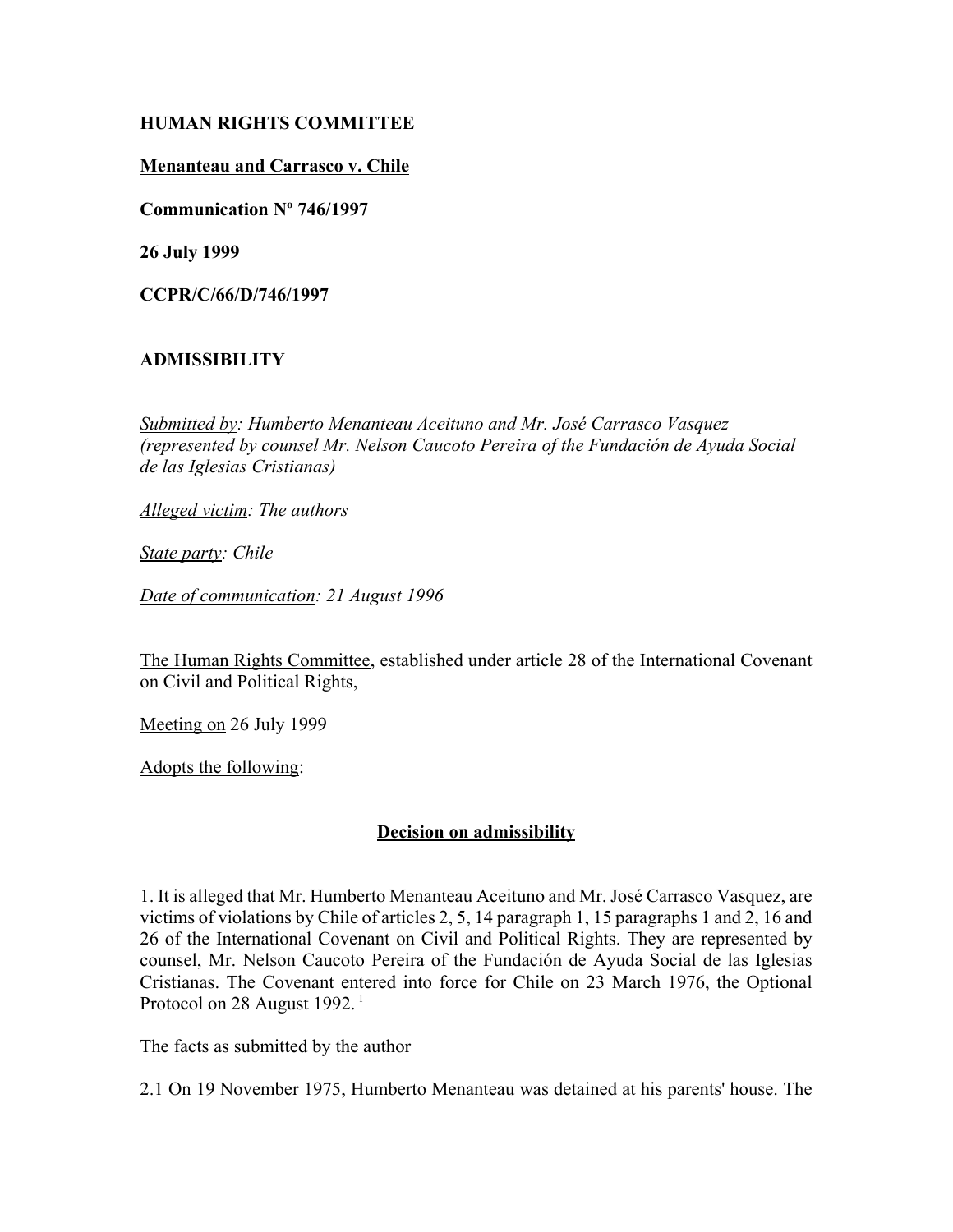## **HUMAN RIGHTS COMMITTEE**

#### **Menanteau and Carrasco v. Chile**

**Communication Nº 746/1997**

**26 July 1999**

**CCPR/C/66/D/746/1997**

# **ADMISSIBILITY**

*Submitted by: Humberto Menanteau Aceituno and Mr. JosÈ Carrasco Vasquez (represented by counsel Mr. Nelson Caucoto Pereira of the Fundación de Ayuda Social de las Iglesias Cristianas)* 

*Alleged victim: The authors* 

*State party: Chile* 

*Date of communication: 21 August 1996* 

The Human Rights Committee, established under article 28 of the International Covenant on Civil and Political Rights,

Meeting on 26 July 1999

Adopts the following:

## **Decision on admissibility**

1. It is alleged that Mr. Humberto Menanteau Aceituno and Mr. JosÈ Carrasco Vasquez, are victims of violations by Chile of articles 2, 5, 14 paragraph 1, 15 paragraphs 1 and 2, 16 and 26 of the International Covenant on Civil and Political Rights. They are represented by counsel, Mr. Nelson Caucoto Pereira of the Fundación de Ayuda Social de las Iglesias Cristianas. The Covenant entered into force for Chile on 23 March 1976, the Optional Protocol on 28 August  $1992.<sup>1</sup>$ 

#### The facts as submitted by the author

2.1 On 19 November 1975, Humberto Menanteau was detained at his parents' house. The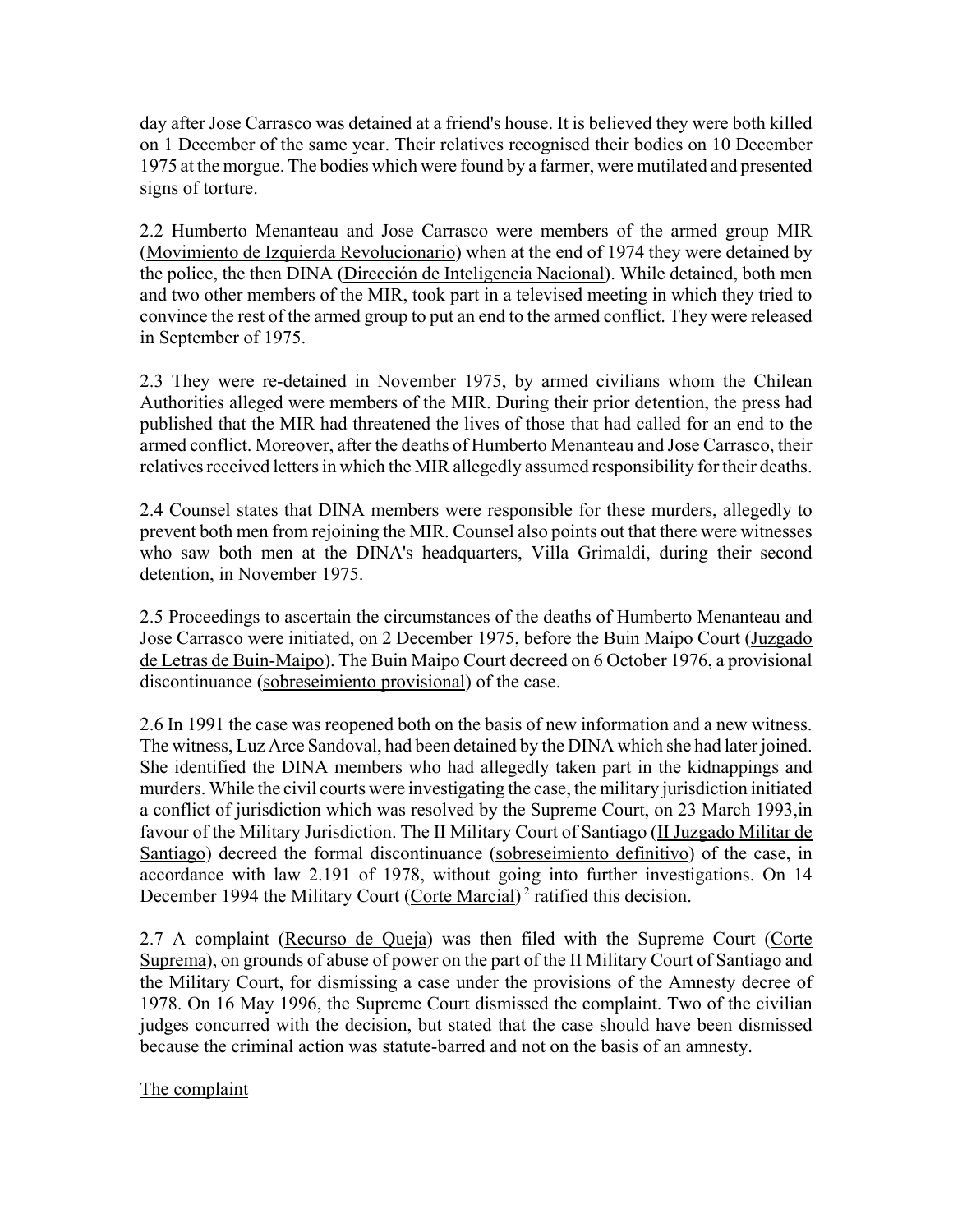day after Jose Carrasco was detained at a friend's house. It is believed they were both killed on 1 December of the same year. Their relatives recognised their bodies on 10 December 1975 at the morgue. The bodies which were found by a farmer, were mutilated and presented signs of torture.

2.2 Humberto Menanteau and Jose Carrasco were members of the armed group MIR (Movimiento de Izquierda Revolucionario) when at the end of 1974 they were detained by the police, the then DINA (Dirección de Inteligencia Nacional). While detained, both men and two other members of the MIR, took part in a televised meeting in which they tried to convince the rest of the armed group to put an end to the armed conflict. They were released in September of 1975.

2.3 They were re-detained in November 1975, by armed civilians whom the Chilean Authorities alleged were members of the MIR. During their prior detention, the press had published that the MIR had threatened the lives of those that had called for an end to the armed conflict. Moreover, after the deaths of Humberto Menanteau and Jose Carrasco, their relatives received letters in which the MIR allegedly assumed responsibility for their deaths.

2.4 Counsel states that DINA members were responsible for these murders, allegedly to prevent both men from rejoining the MIR. Counsel also points out that there were witnesses who saw both men at the DINA's headquarters, Villa Grimaldi, during their second detention, in November 1975.

2.5 Proceedings to ascertain the circumstances of the deaths of Humberto Menanteau and Jose Carrasco were initiated, on 2 December 1975, before the Buin Maipo Court (Juzgado de Letras de Buin-Maipo). The Buin Maipo Court decreed on 6 October 1976, a provisional discontinuance (sobreseimiento provisional) of the case.

2.6 In 1991 the case was reopened both on the basis of new information and a new witness. The witness, Luz Arce Sandoval, had been detained by the DINA which she had later joined. She identified the DINA members who had allegedly taken part in the kidnappings and murders. While the civil courts were investigating the case, the military jurisdiction initiated a conflict of jurisdiction which was resolved by the Supreme Court, on 23 March 1993,in favour of the Military Jurisdiction. The II Military Court of Santiago (II Juzgado Militar de Santiago) decreed the formal discontinuance (sobreseimiento definitivo) of the case, in accordance with law 2.191 of 1978, without going into further investigations. On 14 December 1994 the Military Court (Corte Marcial)<sup>2</sup> ratified this decision.

2.7 A complaint (Recurso de Queja) was then filed with the Supreme Court (Corte Suprema), on grounds of abuse of power on the part of the II Military Court of Santiago and the Military Court, for dismissing a case under the provisions of the Amnesty decree of 1978. On 16 May 1996, the Supreme Court dismissed the complaint. Two of the civilian judges concurred with the decision, but stated that the case should have been dismissed because the criminal action was statute-barred and not on the basis of an amnesty.

The complaint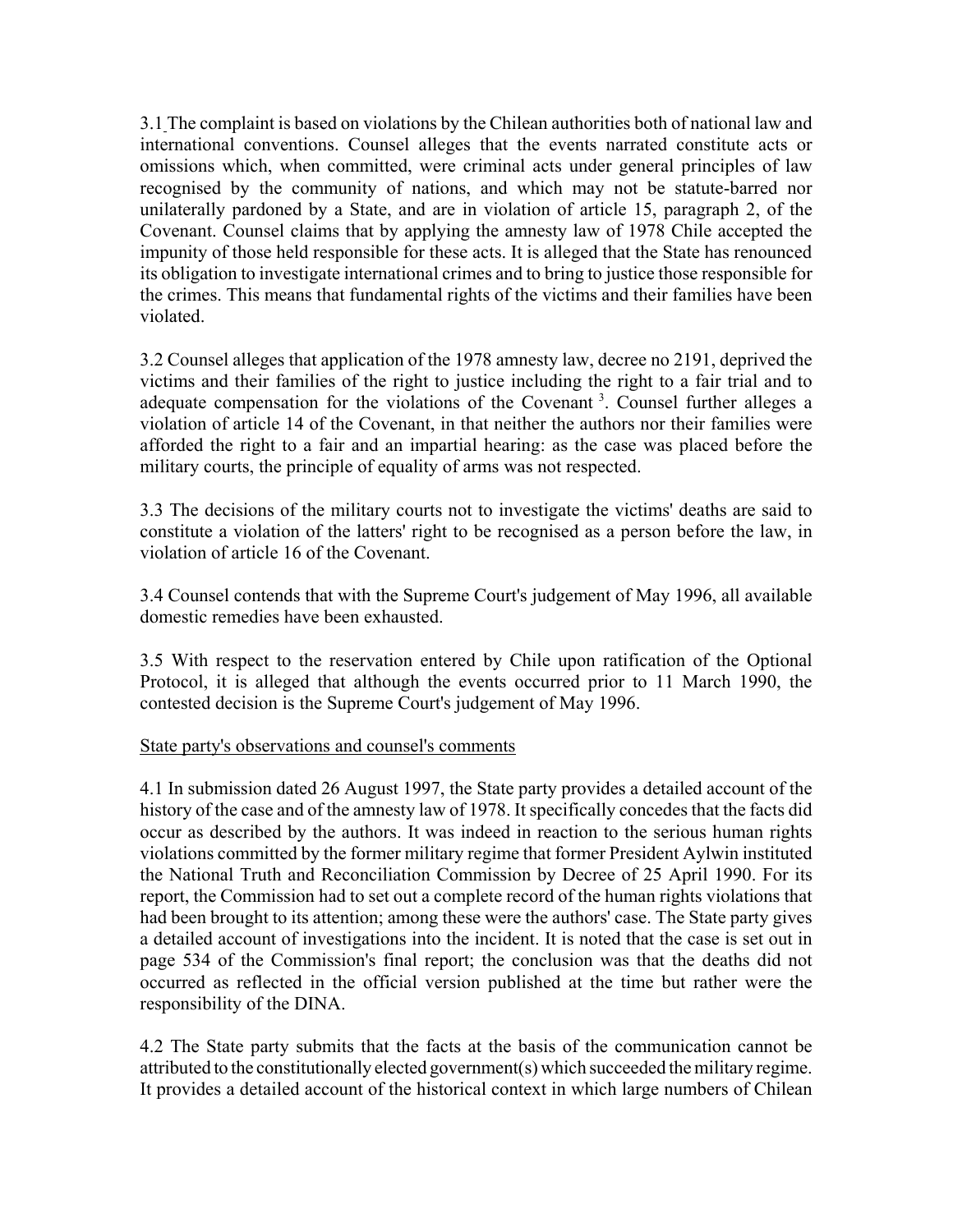3.1 The complaint is based on violations by the Chilean authorities both of national law and international conventions. Counsel alleges that the events narrated constitute acts or omissions which, when committed, were criminal acts under general principles of law recognised by the community of nations, and which may not be statute-barred nor unilaterally pardoned by a State, and are in violation of article 15, paragraph 2, of the Covenant. Counsel claims that by applying the amnesty law of 1978 Chile accepted the impunity of those held responsible for these acts. It is alleged that the State has renounced its obligation to investigate international crimes and to bring to justice those responsible for the crimes. This means that fundamental rights of the victims and their families have been violated.

3.2 Counsel alleges that application of the 1978 amnesty law, decree no 2191, deprived the victims and their families of the right to justice including the right to a fair trial and to adequate compensation for the violations of the Covenant<sup>3</sup>. Counsel further alleges a violation of article 14 of the Covenant, in that neither the authors nor their families were afforded the right to a fair and an impartial hearing: as the case was placed before the military courts, the principle of equality of arms was not respected.

3.3 The decisions of the military courts not to investigate the victims' deaths are said to constitute a violation of the latters' right to be recognised as a person before the law, in violation of article 16 of the Covenant.

3.4 Counsel contends that with the Supreme Court's judgement of May 1996, all available domestic remedies have been exhausted.

3.5 With respect to the reservation entered by Chile upon ratification of the Optional Protocol, it is alleged that although the events occurred prior to 11 March 1990, the contested decision is the Supreme Court's judgement of May 1996.

## State party's observations and counsel's comments

4.1 In submission dated 26 August 1997, the State party provides a detailed account of the history of the case and of the amnesty law of 1978. It specifically concedes that the facts did occur as described by the authors. It was indeed in reaction to the serious human rights violations committed by the former military regime that former President Aylwin instituted the National Truth and Reconciliation Commission by Decree of 25 April 1990. For its report, the Commission had to set out a complete record of the human rights violations that had been brought to its attention; among these were the authors' case. The State party gives a detailed account of investigations into the incident. It is noted that the case is set out in page 534 of the Commission's final report; the conclusion was that the deaths did not occurred as reflected in the official version published at the time but rather were the responsibility of the DINA.

4.2 The State party submits that the facts at the basis of the communication cannot be attributed to the constitutionally elected government(s) which succeeded the military regime. It provides a detailed account of the historical context in which large numbers of Chilean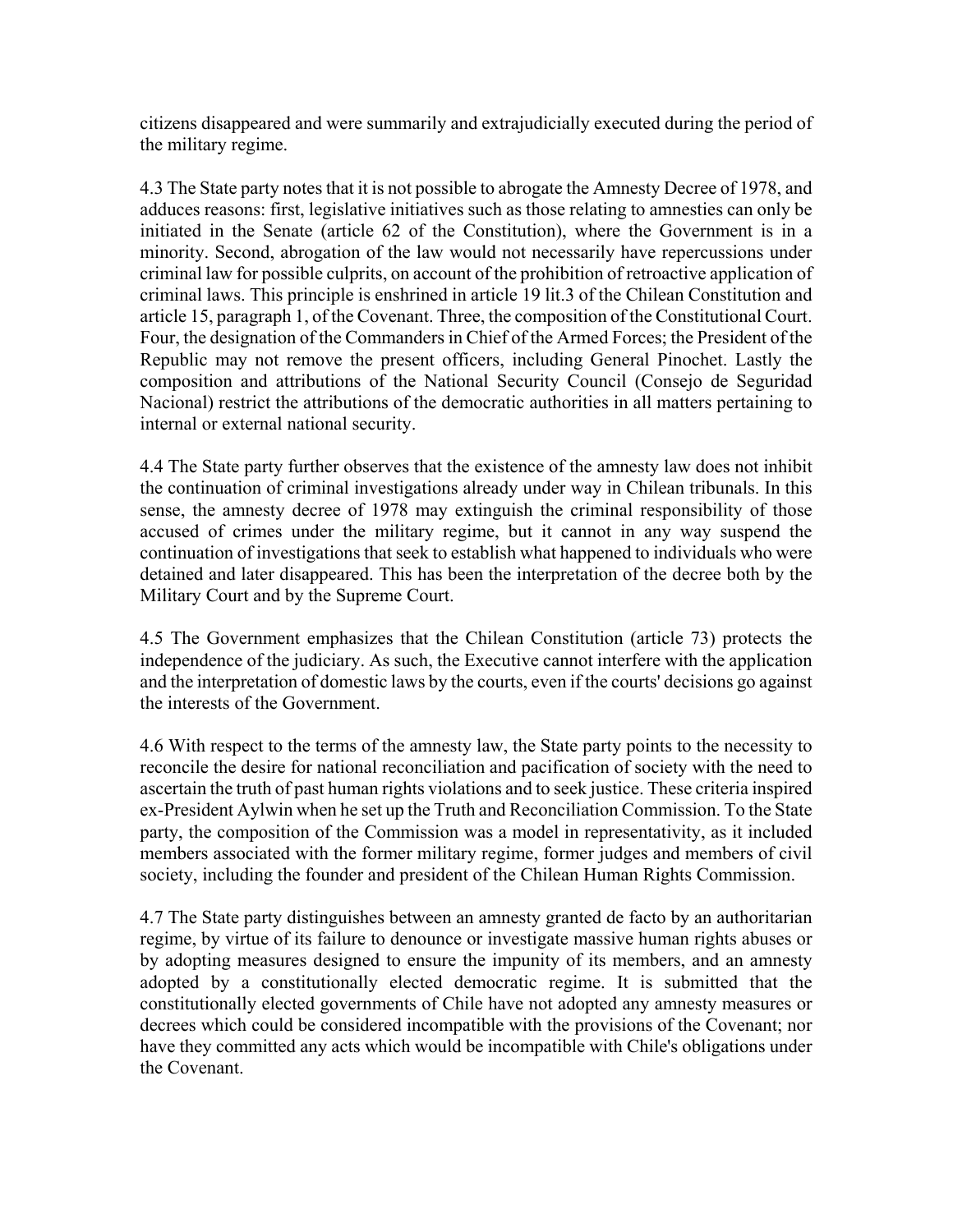citizens disappeared and were summarily and extrajudicially executed during the period of the military regime.

4.3 The State party notes that it is not possible to abrogate the Amnesty Decree of 1978, and adduces reasons: first, legislative initiatives such as those relating to amnesties can only be initiated in the Senate (article 62 of the Constitution), where the Government is in a minority. Second, abrogation of the law would not necessarily have repercussions under criminal law for possible culprits, on account of the prohibition of retroactive application of criminal laws. This principle is enshrined in article 19 lit.3 of the Chilean Constitution and article 15, paragraph 1, of the Covenant. Three, the composition of the Constitutional Court. Four, the designation of the Commanders in Chief of the Armed Forces; the President of the Republic may not remove the present officers, including General Pinochet. Lastly the composition and attributions of the National Security Council (Consejo de Seguridad Nacional) restrict the attributions of the democratic authorities in all matters pertaining to internal or external national security.

4.4 The State party further observes that the existence of the amnesty law does not inhibit the continuation of criminal investigations already under way in Chilean tribunals. In this sense, the amnesty decree of 1978 may extinguish the criminal responsibility of those accused of crimes under the military regime, but it cannot in any way suspend the continuation of investigations that seek to establish what happened to individuals who were detained and later disappeared. This has been the interpretation of the decree both by the Military Court and by the Supreme Court.

4.5 The Government emphasizes that the Chilean Constitution (article 73) protects the independence of the judiciary. As such, the Executive cannot interfere with the application and the interpretation of domestic laws by the courts, even if the courts' decisions go against the interests of the Government.

4.6 With respect to the terms of the amnesty law, the State party points to the necessity to reconcile the desire for national reconciliation and pacification of society with the need to ascertain the truth of past human rights violations and to seek justice. These criteria inspired ex-President Aylwin when he set up the Truth and Reconciliation Commission. To the State party, the composition of the Commission was a model in representativity, as it included members associated with the former military regime, former judges and members of civil society, including the founder and president of the Chilean Human Rights Commission.

4.7 The State party distinguishes between an amnesty granted de facto by an authoritarian regime, by virtue of its failure to denounce or investigate massive human rights abuses or by adopting measures designed to ensure the impunity of its members, and an amnesty adopted by a constitutionally elected democratic regime. It is submitted that the constitutionally elected governments of Chile have not adopted any amnesty measures or decrees which could be considered incompatible with the provisions of the Covenant; nor have they committed any acts which would be incompatible with Chile's obligations under the Covenant.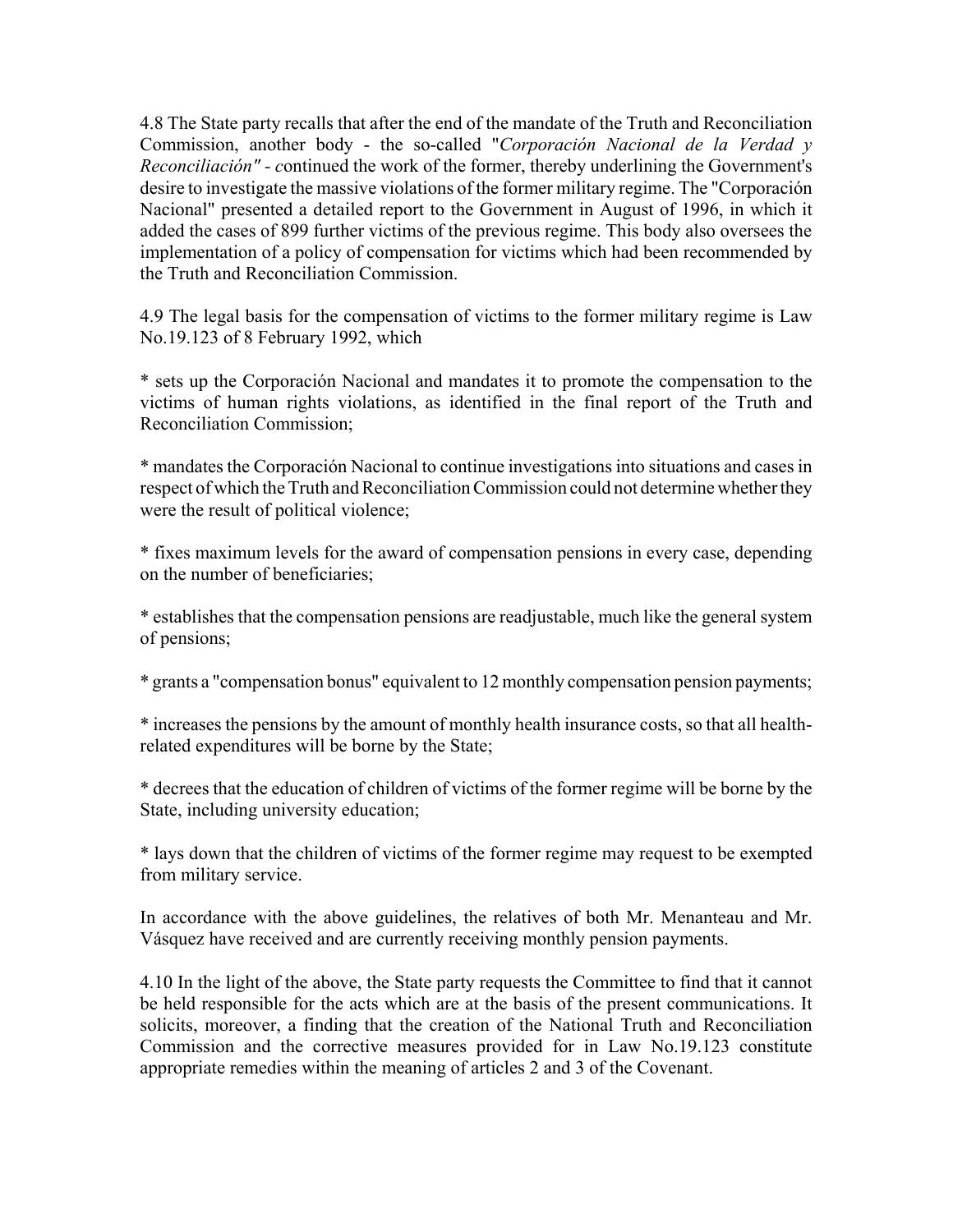4.8 The State party recalls that after the end of the mandate of the Truth and Reconciliation Commission, another body - the so-called "*Corporación Nacional de la Verdad y Reconciliación" - continued the work of the former, thereby underlining the Government's* desire to investigate the massive violations of the former military regime. The "Corporación" Nacional" presented a detailed report to the Government in August of 1996, in which it added the cases of 899 further victims of the previous regime. This body also oversees the implementation of a policy of compensation for victims which had been recommended by the Truth and Reconciliation Commission.

4.9 The legal basis for the compensation of victims to the former military regime is Law No.19.123 of 8 February 1992, which

\* sets up the Corporación Nacional and mandates it to promote the compensation to the victims of human rights violations, as identified in the final report of the Truth and Reconciliation Commission;

\* mandates the Corporación Nacional to continue investigations into situations and cases in respect of which the Truth and Reconciliation Commission could not determine whether they were the result of political violence;

\* fixes maximum levels for the award of compensation pensions in every case, depending on the number of beneficiaries;

\* establishes that the compensation pensions are readjustable, much like the general system of pensions;

\* grants a "compensation bonus" equivalent to 12 monthly compensation pension payments;

\* increases the pensions by the amount of monthly health insurance costs, so that all healthrelated expenditures will be borne by the State;

\* decrees that the education of children of victims of the former regime will be borne by the State, including university education;

\* lays down that the children of victims of the former regime may request to be exempted from military service.

In accordance with the above guidelines, the relatives of both Mr. Menanteau and Mr. Vásquez have received and are currently receiving monthly pension payments.

4.10 In the light of the above, the State party requests the Committee to find that it cannot be held responsible for the acts which are at the basis of the present communications. It solicits, moreover, a finding that the creation of the National Truth and Reconciliation Commission and the corrective measures provided for in Law No.19.123 constitute appropriate remedies within the meaning of articles 2 and 3 of the Covenant.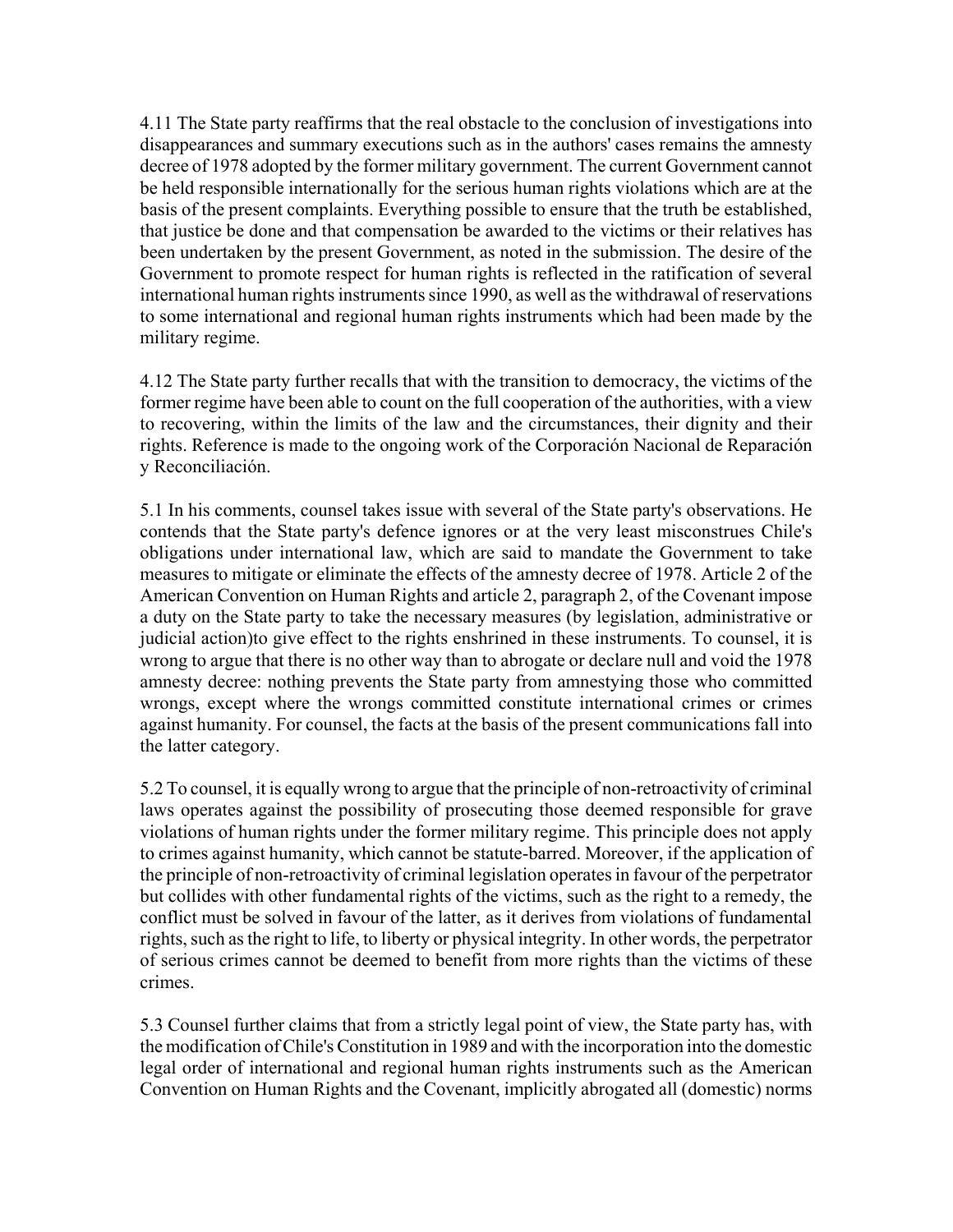4.11 The State party reaffirms that the real obstacle to the conclusion of investigations into disappearances and summary executions such as in the authors' cases remains the amnesty decree of 1978 adopted by the former military government. The current Government cannot be held responsible internationally for the serious human rights violations which are at the basis of the present complaints. Everything possible to ensure that the truth be established, that justice be done and that compensation be awarded to the victims or their relatives has been undertaken by the present Government, as noted in the submission. The desire of the Government to promote respect for human rights is reflected in the ratification of several international human rights instruments since 1990, as well as the withdrawal of reservations to some international and regional human rights instruments which had been made by the military regime.

4.12 The State party further recalls that with the transition to democracy, the victims of the former regime have been able to count on the full cooperation of the authorities, with a view to recovering, within the limits of the law and the circumstances, their dignity and their rights. Reference is made to the ongoing work of the Corporación Nacional de Reparación y Reconciliación.

5.1 In his comments, counsel takes issue with several of the State party's observations. He contends that the State party's defence ignores or at the very least misconstrues Chile's obligations under international law, which are said to mandate the Government to take measures to mitigate or eliminate the effects of the amnesty decree of 1978. Article 2 of the American Convention on Human Rights and article 2, paragraph 2, of the Covenant impose a duty on the State party to take the necessary measures (by legislation, administrative or judicial action)to give effect to the rights enshrined in these instruments. To counsel, it is wrong to argue that there is no other way than to abrogate or declare null and void the 1978 amnesty decree: nothing prevents the State party from amnestying those who committed wrongs, except where the wrongs committed constitute international crimes or crimes against humanity. For counsel, the facts at the basis of the present communications fall into the latter category.

5.2 To counsel, it is equally wrong to argue that the principle of non-retroactivity of criminal laws operates against the possibility of prosecuting those deemed responsible for grave violations of human rights under the former military regime. This principle does not apply to crimes against humanity, which cannot be statute-barred. Moreover, if the application of the principle of non-retroactivity of criminal legislation operates in favour of the perpetrator but collides with other fundamental rights of the victims, such as the right to a remedy, the conflict must be solved in favour of the latter, as it derives from violations of fundamental rights, such as the right to life, to liberty or physical integrity. In other words, the perpetrator of serious crimes cannot be deemed to benefit from more rights than the victims of these crimes.

5.3 Counsel further claims that from a strictly legal point of view, the State party has, with the modification of Chile's Constitution in 1989 and with the incorporation into the domestic legal order of international and regional human rights instruments such as the American Convention on Human Rights and the Covenant, implicitly abrogated all (domestic) norms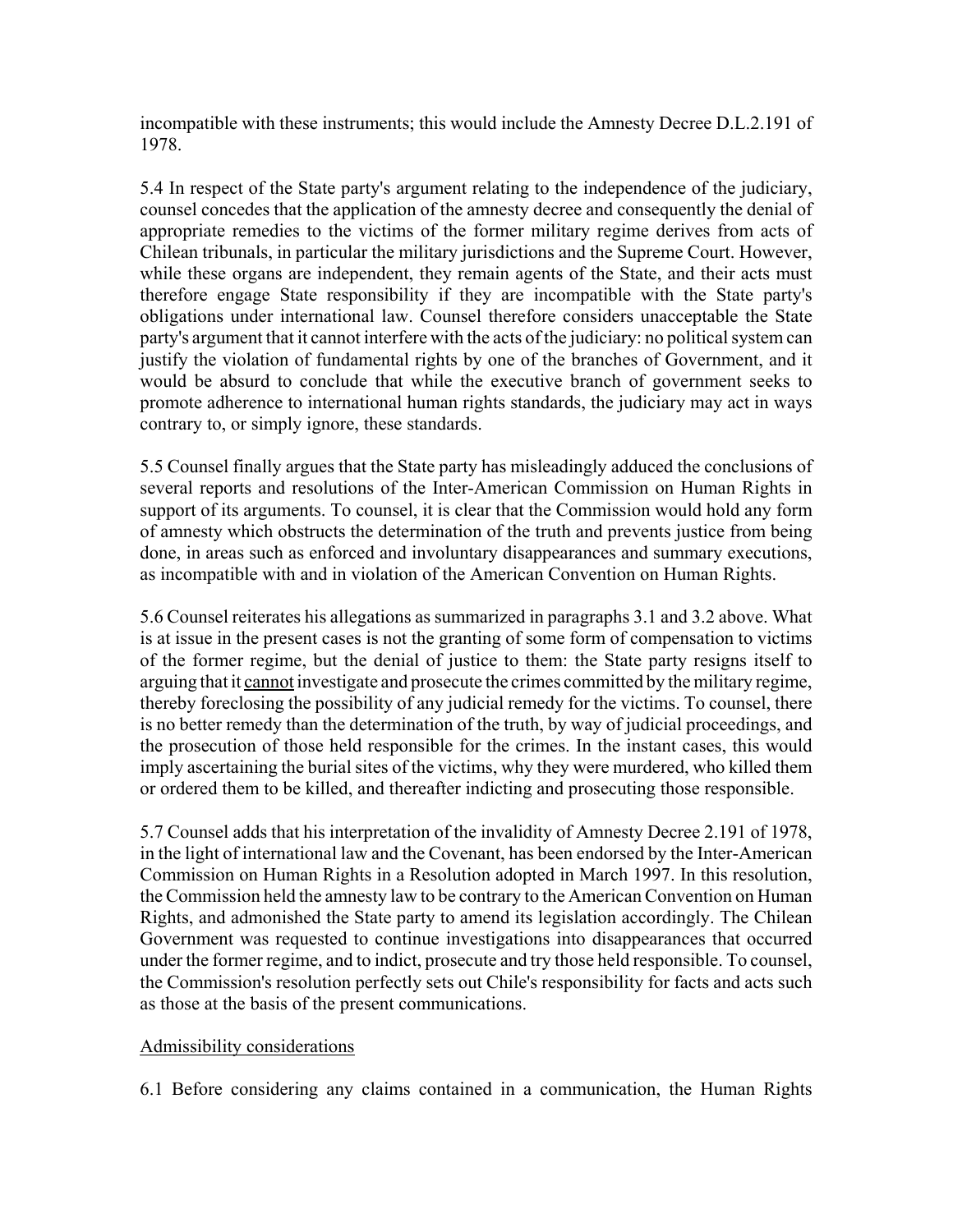incompatible with these instruments; this would include the Amnesty Decree D.L.2.191 of 1978.

5.4 In respect of the State party's argument relating to the independence of the judiciary, counsel concedes that the application of the amnesty decree and consequently the denial of appropriate remedies to the victims of the former military regime derives from acts of Chilean tribunals, in particular the military jurisdictions and the Supreme Court. However, while these organs are independent, they remain agents of the State, and their acts must therefore engage State responsibility if they are incompatible with the State party's obligations under international law. Counsel therefore considers unacceptable the State party's argument that it cannot interfere with the acts of the judiciary: no political system can justify the violation of fundamental rights by one of the branches of Government, and it would be absurd to conclude that while the executive branch of government seeks to promote adherence to international human rights standards, the judiciary may act in ways contrary to, or simply ignore, these standards.

5.5 Counsel finally argues that the State party has misleadingly adduced the conclusions of several reports and resolutions of the Inter-American Commission on Human Rights in support of its arguments. To counsel, it is clear that the Commission would hold any form of amnesty which obstructs the determination of the truth and prevents justice from being done, in areas such as enforced and involuntary disappearances and summary executions, as incompatible with and in violation of the American Convention on Human Rights.

5.6 Counsel reiterates his allegations as summarized in paragraphs 3.1 and 3.2 above. What is at issue in the present cases is not the granting of some form of compensation to victims of the former regime, but the denial of justice to them: the State party resigns itself to arguing that it cannot investigate and prosecute the crimes committed by the military regime, thereby foreclosing the possibility of any judicial remedy for the victims. To counsel, there is no better remedy than the determination of the truth, by way of judicial proceedings, and the prosecution of those held responsible for the crimes. In the instant cases, this would imply ascertaining the burial sites of the victims, why they were murdered, who killed them or ordered them to be killed, and thereafter indicting and prosecuting those responsible.

5.7 Counsel adds that his interpretation of the invalidity of Amnesty Decree 2.191 of 1978, in the light of international law and the Covenant, has been endorsed by the Inter-American Commission on Human Rights in a Resolution adopted in March 1997. In this resolution, the Commission held the amnesty law to be contrary to the American Convention on Human Rights, and admonished the State party to amend its legislation accordingly. The Chilean Government was requested to continue investigations into disappearances that occurred under the former regime, and to indict, prosecute and try those held responsible. To counsel, the Commission's resolution perfectly sets out Chile's responsibility for facts and acts such as those at the basis of the present communications.

#### Admissibility considerations

6.1 Before considering any claims contained in a communication, the Human Rights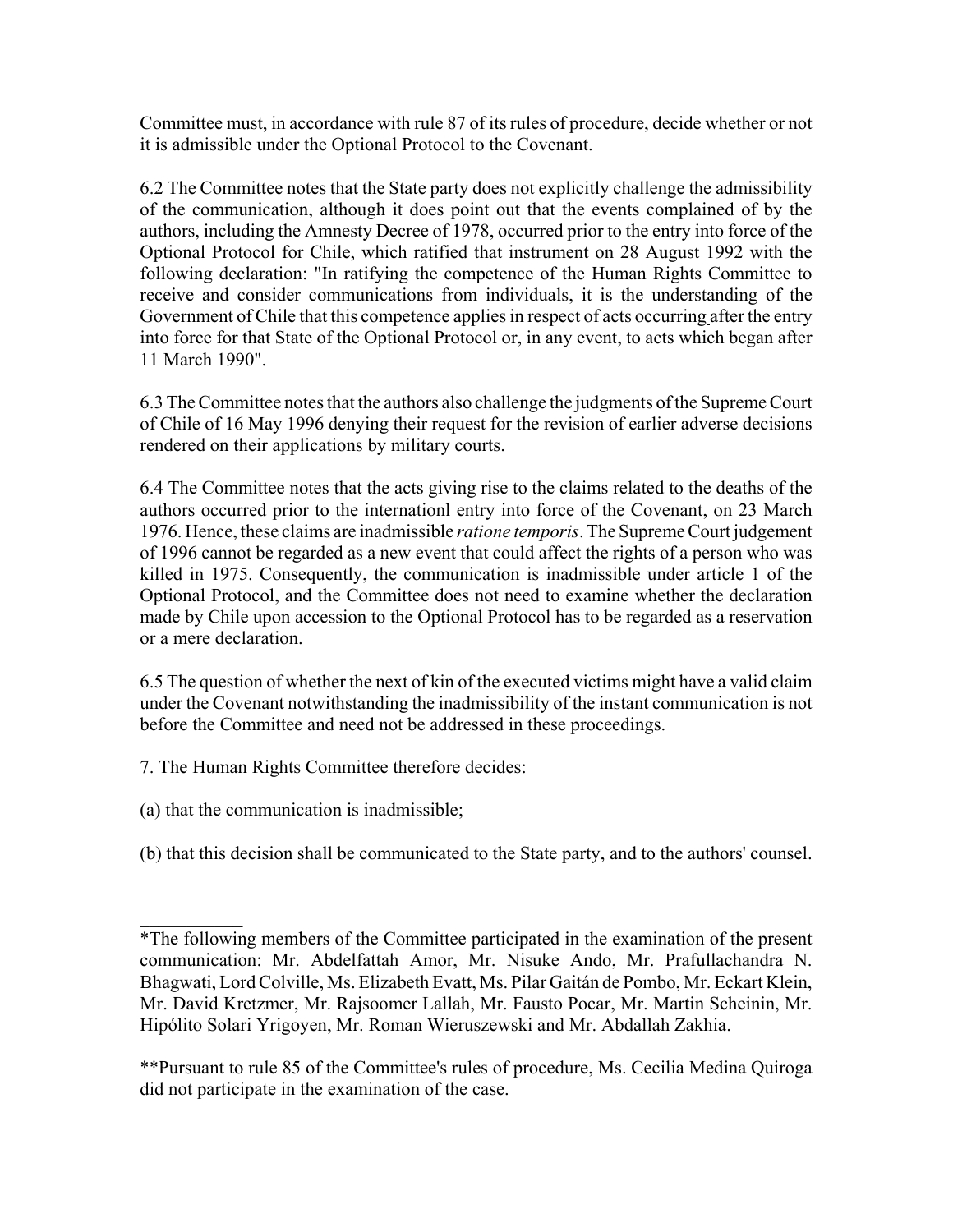Committee must, in accordance with rule 87 of its rules of procedure, decide whether or not it is admissible under the Optional Protocol to the Covenant.

6.2 The Committee notes that the State party does not explicitly challenge the admissibility of the communication, although it does point out that the events complained of by the authors, including the Amnesty Decree of 1978, occurred prior to the entry into force of the Optional Protocol for Chile, which ratified that instrument on 28 August 1992 with the following declaration: "In ratifying the competence of the Human Rights Committee to receive and consider communications from individuals, it is the understanding of the Government of Chile that this competence applies in respect of acts occurring after the entry into force for that State of the Optional Protocol or, in any event, to acts which began after 11 March 1990".

6.3 The Committee notes that the authors also challenge the judgments of the Supreme Court of Chile of 16 May 1996 denying their request for the revision of earlier adverse decisions rendered on their applications by military courts.

6.4 The Committee notes that the acts giving rise to the claims related to the deaths of the authors occurred prior to the internationl entry into force of the Covenant, on 23 March 1976. Hence, these claims are inadmissible *ratione temporis*. The Supreme Court judgement of 1996 cannot be regarded as a new event that could affect the rights of a person who was killed in 1975. Consequently, the communication is inadmissible under article 1 of the Optional Protocol, and the Committee does not need to examine whether the declaration made by Chile upon accession to the Optional Protocol has to be regarded as a reservation or a mere declaration.

6.5 The question of whether the next of kin of the executed victims might have a valid claim under the Covenant notwithstanding the inadmissibility of the instant communication is not before the Committee and need not be addressed in these proceedings.

- 7. The Human Rights Committee therefore decides:
- (a) that the communication is inadmissible;

 $\mathcal{L}_\text{max}$ 

(b) that this decision shall be communicated to the State party, and to the authors' counsel.

\*\*Pursuant to rule 85 of the Committee's rules of procedure, Ms. Cecilia Medina Quiroga did not participate in the examination of the case.

<sup>\*</sup>The following members of the Committee participated in the examination of the present communication: Mr. Abdelfattah Amor, Mr. Nisuke Ando, Mr. Prafullachandra N. Bhagwati, Lord Colville, Ms. Elizabeth Evatt, Ms. Pilar Gaitán de Pombo, Mr. Eckart Klein, Mr. David Kretzmer, Mr. Rajsoomer Lallah, Mr. Fausto Pocar, Mr. Martin Scheinin, Mr. Hipólito Solari Yrigoyen, Mr. Roman Wieruszewski and Mr. Abdallah Zakhia.